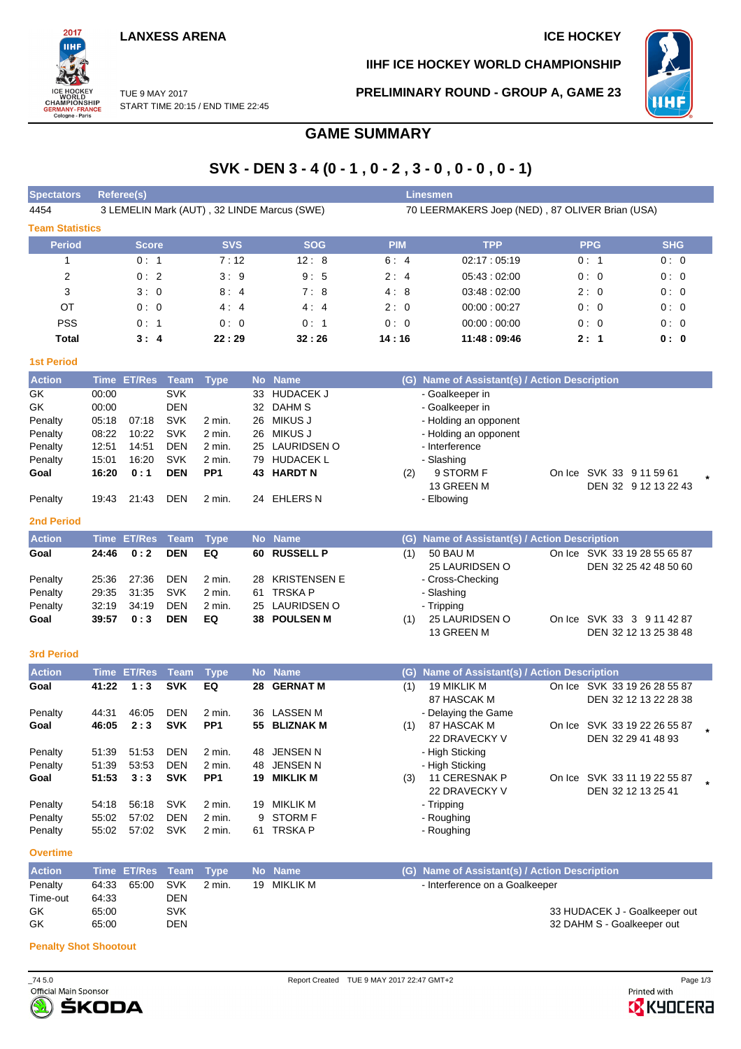## **LANXESS ARENA ICE HOCKEY**



**IIHF ICE HOCKEY WORLD CHAMPIONSHIP**



TUE 9 MAY 2017 START TIME 20:15 / END TIME 22:45 **PRELIMINARY ROUND - GROUP A, GAME 23**

# **GAME SUMMARY**

# **SVK - DEN 3 - 4 (0 - 1 , 0 - 2 , 3 - 0 , 0 - 0 , 0 - 1)**

| <b>Spectators</b>      | <b>Referee(s)</b>                           |            |            | <b>Linesmen</b> |                                                 |            |            |
|------------------------|---------------------------------------------|------------|------------|-----------------|-------------------------------------------------|------------|------------|
| 4454                   | 3 LEMELIN Mark (AUT), 32 LINDE Marcus (SWE) |            |            |                 | 70 LEERMAKERS Joep (NED), 87 OLIVER Brian (USA) |            |            |
| <b>Team Statistics</b> |                                             |            |            |                 |                                                 |            |            |
| Period                 | <b>Score</b>                                | <b>SVS</b> | <b>SOG</b> | <b>PIM</b>      | <b>TPP</b>                                      | <b>PPG</b> | <b>SHG</b> |
|                        | 0:1                                         | 7:12       | 12:8       | 6:4             | 02:17:05:19                                     | 0:1        | 0:0        |
| $\overline{2}$         | 0:2                                         | 3:9        | 9:5        | 2:4             | 05.43:02.00                                     | 0:0        | 0:0        |
| 3                      | 3:0                                         | 8:4        | 7:8        | 4:8             | 03.48:02:00                                     | 2:0        | 0:0        |
| OT                     | 0:0                                         | 4:4        | 4:4        | 2:0             | 00:00:00:27                                     | 0:0        | 0:0        |
| <b>PSS</b>             | 0:1                                         | 0:0        | 0:1        | 0:0             | 00:00:00:00                                     | 0:0        | 0:0        |
| Total                  | 3:4                                         | 22:29      | 32:26      | 14:16           | 11:48 : 09:46                                   | 2:1        | 0: 0       |

### **1st Period**

| <b>Action</b> |       | Time ET/Res Team |            | <b>Type</b>     |    | No Name         |     | (G) Name of Assistant(s) / Action Description |  |                          |  |
|---------------|-------|------------------|------------|-----------------|----|-----------------|-----|-----------------------------------------------|--|--------------------------|--|
| GK.           | 00:00 |                  | <b>SVK</b> |                 | 33 | HUDACEK J       |     | - Goalkeeper in                               |  |                          |  |
| GK            | 00:00 |                  | <b>DEN</b> |                 | 32 | DAHM S          |     | - Goalkeeper in                               |  |                          |  |
| Penalty       | 05:18 | 07:18            | <b>SVK</b> | $2$ min.        | 26 | MIKUS J         |     | - Holding an opponent                         |  |                          |  |
| Penalty       | 08:22 | 10:22            | <b>SVK</b> | $2$ min.        |    | 26 MIKUS J      |     | - Holding an opponent                         |  |                          |  |
| Penalty       | 12:51 | 14:51            | <b>DEN</b> | $2$ min.        |    | 25 LAURIDSEN O  |     | - Interference                                |  |                          |  |
| Penalty       | 15:01 | 16:20            | <b>SVK</b> | 2 min.          | 79 | HUDACEK L       |     | - Slashing                                    |  |                          |  |
| Goal          | 16:20 | 0:1              | <b>DEN</b> | PP <sub>1</sub> | 43 | <b>HARDT N</b>  | (2) | 9 STORM F                                     |  | On Ice SVK 33 9 11 59 61 |  |
|               |       |                  |            |                 |    |                 |     | 13 GREEN M                                    |  | DEN 32 9 12 13 22 43     |  |
| Penalty       | 19:43 | 21:43            | <b>DEN</b> | 2 min.          | 24 | <b>EHLERS N</b> |     | - Elbowing                                    |  |                          |  |

### **2nd Period**

| <b>Action</b> |       | Time ET/Res Team Type |            |        | No Name         |     | (G) Name of Assistant(s) / Action Description |  |                                                       |  |  |  |  |  |
|---------------|-------|-----------------------|------------|--------|-----------------|-----|-----------------------------------------------|--|-------------------------------------------------------|--|--|--|--|--|
| Goal          | 24:46 | 0:2                   | <b>DEN</b> | EQ     | 60 RUSSELL P    | (1) | 50 BAU M<br>25 LAURIDSEN O                    |  | On Ice SVK 33 19 28 55 65 87<br>DEN 32 25 42 48 50 60 |  |  |  |  |  |
| Penalty       | 25:36 | 27:36                 | <b>DEN</b> | 2 min. | 28 KRISTENSEN E |     | - Cross-Checking                              |  |                                                       |  |  |  |  |  |
| Penalty       | 29.35 | 31:35                 | <b>SVK</b> | 2 min. | 61 TRSKA P      |     | - Slashing                                    |  |                                                       |  |  |  |  |  |
| Penalty       | 32:19 | 34:19                 | <b>DEN</b> | 2 min. | 25 LAURIDSEN O  |     | - Tripping                                    |  |                                                       |  |  |  |  |  |
| Goal          | 39:57 | 0:3                   | <b>DEN</b> | EQ     | 38 POULSEN M    | (1) | 25 LAURIDSEN O<br>13 GREEN M                  |  | On Ice SVK 33 3 9 11 42 87<br>DEN 32 12 13 25 38 48   |  |  |  |  |  |

### **3rd Period**

| <b>Action</b> |       | Time ET/Res Team |            | <b>Type</b>     |     | No Name         | Name of Assistant(s) / Action Description<br>(G) |                     |        |                       |  |  |  |  |
|---------------|-------|------------------|------------|-----------------|-----|-----------------|--------------------------------------------------|---------------------|--------|-----------------------|--|--|--|--|
| Goal          | 41:22 | 1:3              | <b>SVK</b> | EQ              | 28  | <b>GERNAT M</b> | (1)                                              | <b>19 MIKLIK M</b>  | On Ice | SVK 33 19 26 28 55 87 |  |  |  |  |
|               |       |                  |            |                 |     |                 |                                                  | 87 HASCAK M         |        | DEN 32 12 13 22 28 38 |  |  |  |  |
| Penalty       | 44:31 | 46:05            | <b>DEN</b> | $2$ min.        | 36  | LASSEN M        |                                                  | - Delaying the Game |        |                       |  |  |  |  |
| Goal          | 46:05 | 2:3              | <b>SVK</b> | PP <sub>1</sub> |     | 55 BLIZNAK M    | (1)                                              | 87 HASCAK M         | On Ice | SVK 33 19 22 26 55 87 |  |  |  |  |
|               |       |                  |            |                 |     |                 |                                                  | 22 DRAVECKY V       |        | DEN 32 29 41 48 93    |  |  |  |  |
| Penalty       | 51:39 | 51:53            | <b>DEN</b> | $2$ min.        | 48. | <b>JENSEN N</b> |                                                  | - High Sticking     |        |                       |  |  |  |  |
| Penalty       | 51:39 | 53.53            | DEN        | 2 min.          | 48  | <b>JENSEN N</b> |                                                  | - High Sticking     |        |                       |  |  |  |  |
| Goal          | 51:53 | 3:3              | <b>SVK</b> | PP <sub>1</sub> | 19  | <b>MIKLIK M</b> | (3)                                              | 11 CERESNAK P       | On Ice | SVK 33 11 19 22 55 87 |  |  |  |  |
|               |       |                  |            |                 |     |                 |                                                  | 22 DRAVECKY V       |        | DEN 32 12 13 25 41    |  |  |  |  |
| Penalty       | 54:18 | 56:18            | <b>SVK</b> | 2 min.          | 19  | <b>MIKLIK M</b> |                                                  | - Tripping          |        |                       |  |  |  |  |
| Penalty       | 55:02 | 57:02            | DEN        | 2 min.          | 9.  | <b>STORM F</b>  |                                                  | - Roughing          |        |                       |  |  |  |  |
| Penalty       | 55:02 | 57:02            | <b>SVK</b> | 2 min.          | 61. | <b>TRSKAP</b>   |                                                  | - Roughing          |        |                       |  |  |  |  |

**Overtime**

| <b>Action</b> | Time ET/Res Team Type |            |        | ' No Name , | (G) Name of Assistant(s) / Action Description |                               |
|---------------|-----------------------|------------|--------|-------------|-----------------------------------------------|-------------------------------|
| Penalty       | 64:33 65:00 SVK       |            | 2 min. | 19 MIKLIK M | - Interference on a Goalkeeper                |                               |
| Time-out      | 64:33                 | DEN        |        |             |                                               |                               |
| GK.           | 65:00                 | <b>SVK</b> |        |             |                                               | 33 HUDACEK J - Goalkeeper out |
| GK            | 65:00                 | DEN        |        |             |                                               | 32 DAHM S - Goalkeeper out    |

### **Penalty Shot Shootout**



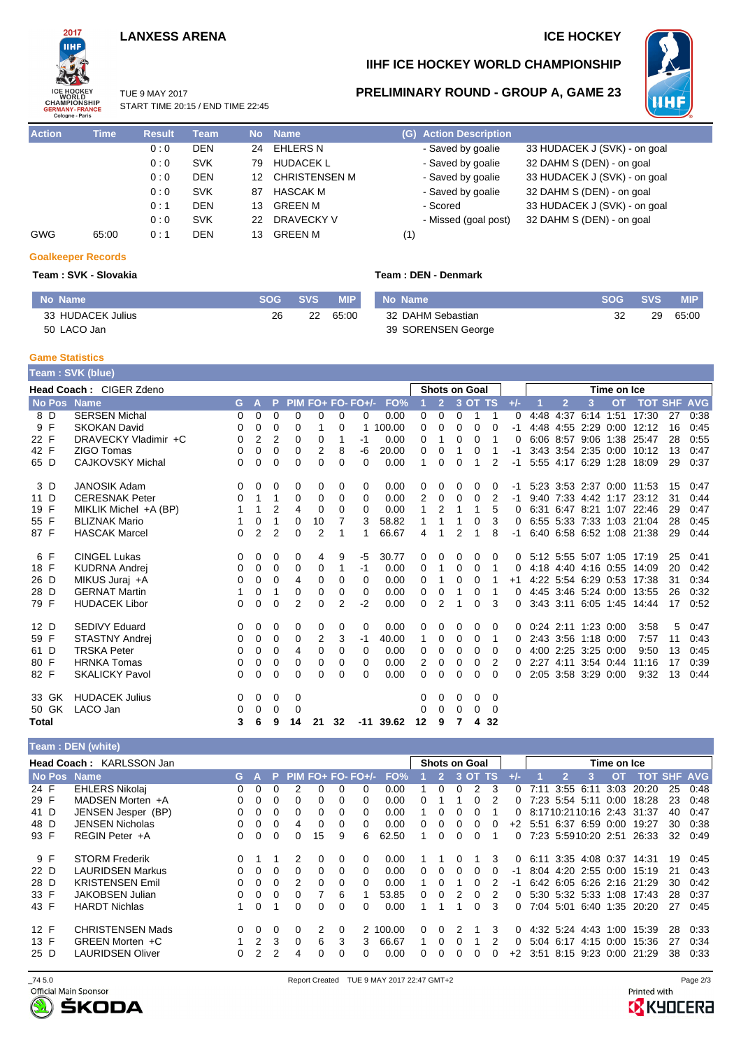## **LANXESS ARENA ICE HOCKEY**



## **IIHF ICE HOCKEY WORLD CHAMPIONSHIP**

## **PRELIMINARY ROUND - GROUP A, GAME 23**



TUE 9 MAY 2017 START TIME 20:15 / END TIME 22:45

| <b>Action</b> | <b>Time</b> | <b>Result</b> | Team       |     | No Name       | (G) Action Description |                              |
|---------------|-------------|---------------|------------|-----|---------------|------------------------|------------------------------|
|               |             | 0:0           | <b>DEN</b> | 24  | EHLERS N      | - Saved by goalie      | 33 HUDACEK J (SVK) - on goal |
|               |             | 0:0           | <b>SVK</b> | 79  | HUDACEK L     | - Saved by goalie      | 32 DAHM S (DEN) - on goal    |
|               |             | 0:0           | <b>DEN</b> | 12. | CHRISTENSEN M | - Saved by goalie      | 33 HUDACEK J (SVK) - on goal |
|               |             | 0:0           | <b>SVK</b> | 87  | HASCAK M      | - Saved by goalie      | 32 DAHM S (DEN) - on goal    |
|               |             | 0:1           | <b>DEN</b> | 13  | GREEN M       | - Scored               | 33 HUDACEK J (SVK) - on goal |
|               |             | 0:0           | <b>SVK</b> | 22  | DRAVECKY V    | - Missed (goal post)   | 32 DAHM S (DEN) - on goal    |
| <b>GWG</b>    | 65:00       | 0:1           | <b>DEN</b> | 13. | GREEN M       | (1)                    |                              |

### **Goalkeeper Records**

### **Team : SVK - Slovakia Team : DEN - Denmark**

| No Name           | <b>SOG</b> | <b>SVS</b> | <b>MIP</b> | No Name            | <b>SOG</b> | <b>SVS</b> | <b>MIP</b> |
|-------------------|------------|------------|------------|--------------------|------------|------------|------------|
| 33 HUDACEK Julius | 26         | 22         | 65:00      | 32 DAHM Sebastian  | 32         | 29         | 65:00      |
| 50 LACO Jan       |            |            |            | 39 SORENSEN George |            |            |            |

### **Game Statistics**

|              | Team: SVK (blue) |                         |    |                |                |                |                |                |                   |        |                |                |               |          |                |       |                     |    |                     |                     |                           |    |      |
|--------------|------------------|-------------------------|----|----------------|----------------|----------------|----------------|----------------|-------------------|--------|----------------|----------------|---------------|----------|----------------|-------|---------------------|----|---------------------|---------------------|---------------------------|----|------|
|              |                  | Head Coach: CIGER Zdeno |    |                |                |                |                |                |                   |        |                |                | Shots on Goal |          |                |       |                     |    |                     | Time on Ice         |                           |    |      |
|              | <b>No Pos</b>    | <b>Name</b>             | G. | A              | P              |                |                |                | PIM FO+ FO- FO+/- | FO%    |                |                |               | 3 OT TS  |                | $+/-$ |                     | 12 | 3                   | <b>OT</b>           | <b>TOT SHF AVG</b>        |    |      |
| 8 D          |                  | <b>SERSEN Michal</b>    | 0  | 0              | 0              | $\Omega$       | $\Omega$       | 0              | 0                 | 0.00   | 0              | 0              | 0             | 1        | -1             | 0     | 4:48                |    |                     | 4:37 6:14 1:51      | 17:30                     | 27 | 0:38 |
| 9 F          |                  | <b>SKOKAN David</b>     | 0  | $\Omega$       | 0              | $\Omega$       |                | 0              |                   | 100.00 | 0              | 0              | $\Omega$      | 0        | $\Omega$       | -1    |                     |    |                     | 4:48 4:55 2:29 0:00 | 12:12                     | 16 | 0:45 |
| 22 F         |                  | DRAVECKY Vladimir +C    | 0  | 2              | $\overline{2}$ | 0              | 0              | 1              | $-1$              | 0.00   | 0              | 1              | 0             | 0        |                | 0     |                     |    |                     |                     | 6:06 8:57 9:06 1:38 25:47 | 28 | 0:55 |
| 42 F         |                  | ZIGO Tomas              | 0  | $\Omega$       | $\Omega$       | $\Omega$       | 2              | 8              | -6                | 20.00  | 0              | 0              |               | 0        |                |       |                     |    |                     |                     | 3:43 3:54 2:35 0:00 10:12 | 13 | 0:47 |
| 65 D         |                  | <b>CAJKOVSKY Michal</b> | 0  | 0              | 0              | 0              | 0              | 0              | 0                 | 0.00   | 1              | 0              | $\Omega$      | 1        | $\overline{2}$ | $-1$  |                     |    |                     |                     | 5:55 4:17 6:29 1:28 18:09 | 29 | 0:37 |
| 3 D          |                  | <b>JANOSIK Adam</b>     | 0  | 0              | 0              | 0              | 0              | 0              | 0                 | 0.00   | 0              | 0              | 0             | 0        | 0              | -1    |                     |    |                     |                     | 5:23 3:53 2:37 0:00 11:53 | 15 | 0:47 |
| 11 D         |                  | <b>CERESNAK Peter</b>   | 0  | 1              | 1              | 0              | 0              | 0              | $\Omega$          | 0.00   | 2              | 0              | 0             | $\Omega$ | 2              | -1    |                     |    |                     |                     | 9:40 7:33 4:42 1:17 23:12 | 31 | 0:44 |
| 19 F         |                  | MIKLIK Michel +A (BP)   |    | 1              | 2              | 4              | 0              | 0              | 0                 | 0.00   | 1              | 2              | 1             | 1        | 5              | 0     |                     |    |                     |                     | 6:31 6:47 8:21 1:07 22:46 | 29 | 0:47 |
| 55 F         |                  | <b>BLIZNAK Mario</b>    |    | 0              | 1              | 0              | 10             | 7              | 3                 | 58.82  | 1              | 1              |               | 0        | 3              | 0     |                     |    |                     |                     | 6:55 5:33 7:33 1:03 21:04 | 28 | 0:45 |
| 87 F         |                  | <b>HASCAK Marcel</b>    | 0  | $\overline{2}$ | 2              | 0              | $\overline{2}$ |                |                   | 66.67  | 4              | 1              | 2             |          | 8              | -1    |                     |    |                     |                     | 6:40 6:58 6:52 1:08 21:38 | 29 | 0:44 |
| 6 F          |                  | <b>CINGEL Lukas</b>     | 0  | 0              | 0              | 0              | 4              | 9              | -5                | 30.77  | 0              | 0              | 0             | 0        | 0              | 0     |                     |    |                     |                     | 5:12 5:55 5:07 1:05 17:19 | 25 | 0:41 |
| 18 F         |                  | <b>KUDRNA Andrei</b>    | 0  | 0              | 0              | 0              | 0              | 1              | $-1$              | 0.00   | 0              | 1              | 0             | 0        |                | 0     |                     |    |                     |                     | 4:18 4:40 4:16 0:55 14:09 | 20 | 0:42 |
| 26 D         |                  | MIKUS Juraj +A          | 0  | 0              | 0              | 4              | 0              | 0              | $\Omega$          | 0.00   | 0              | 1              | 0             | 0        |                | $+1$  |                     |    |                     |                     | 4:22 5:54 6:29 0:53 17:38 | 31 | 0:34 |
| 28 D         |                  | <b>GERNAT Martin</b>    |    | 0              | 1              | 0              | 0              | 0              | $\Omega$          | 0.00   | 0              | 0              | 1             | 0        |                | 0     |                     |    |                     | 4:45 3:46 5:24 0:00 | 13:55                     | 26 | 0:32 |
| 79 F         |                  | <b>HUDACEK Libor</b>    | 0  | 0              | 0              | $\overline{2}$ | $\Omega$       | $\overline{2}$ | $-2$              | 0.00   | 0              | $\overline{2}$ | 1             | 0        | 3              | 0     |                     |    |                     |                     | 3:43 3:11 6:05 1:45 14:44 | 17 | 0:52 |
| 12 D         |                  | <b>SEDIVY Eduard</b>    | 0  | 0              | 0              | 0              | 0              | 0              | 0                 | 0.00   | 0              | 0              | 0             | 0        | 0              | 0     | 0:24 2:11 1:23 0:00 |    |                     |                     | 3:58                      | 5  | 0:47 |
| 59 F         |                  | <b>STASTNY Andrei</b>   | 0  | 0              | 0              | 0              | $\overline{2}$ | 3              | -1                | 40.00  | 1              | 0              | 0             | 0        |                | 0     |                     |    | 2:43 3:56 1:18 0:00 |                     | 7:57                      | 11 | 0:43 |
| 61 D         |                  | <b>TRSKA Peter</b>      | 0  | 0              | 0              | 4              | 0              | 0              | $\Omega$          | 0.00   | 0              | 0              | 0             | 0        | 0              | 0     |                     |    | 4:00 2:25 3:25 0:00 |                     | 9:50                      | 13 | 0:45 |
| 80 F         |                  | <b>HRNKA Tomas</b>      | 0  | 0              | 0              | $\Omega$       | 0              | 0              | $\Omega$          | 0.00   | $\overline{2}$ | 0              | 0             | 0        | 2              | 0     |                     |    | 2:27 4:11 3:54 0:44 |                     | 11:16                     | 17 | 0:39 |
| 82 F         |                  | <b>SKALICKY Pavol</b>   | 0  | $\Omega$       | $\Omega$       | $\Omega$       | 0              | 0              | 0                 | 0.00   | 0              | 0              | $\Omega$      | 0        | $\Omega$       | 0     |                     |    | 2:05 3:58 3:29 0:00 |                     | 9:32                      | 13 | 0:44 |
| 33 GK        |                  | <b>HUDACEK Julius</b>   | 0  | 0              | 0              | 0              |                |                |                   |        | 0              | 0              | 0             | 0        | 0              |       |                     |    |                     |                     |                           |    |      |
| 50 GK        |                  | LACO Jan                | 0  | $\Omega$       | 0              | 0              |                |                |                   |        | 0              | $\Omega$       | $\Omega$      | $\Omega$ | $\Omega$       |       |                     |    |                     |                     |                           |    |      |
| <b>Total</b> |                  |                         | 3  | 6              | 9              | 14             | 21             | 32             | -11               | 39.62  | 12             | 9              | 7             | 4        | 32             |       |                     |    |                     |                     |                           |    |      |

### **Team : DEN (white)**

|             | Head Coach: KARLSSON Jan |          |          |          |              |              |          |                     |                 |    |              |   | <b>Shots on Goal</b> |           |              |      |                     |           | Time on Ice |                           |    |                |
|-------------|--------------------------|----------|----------|----------|--------------|--------------|----------|---------------------|-----------------|----|--------------|---|----------------------|-----------|--------------|------|---------------------|-----------|-------------|---------------------------|----|----------------|
| No Pos Name |                          | G.       |          | P.       |              |              |          | $PIM$ FO+ FO- FO+/- | FO <sub>%</sub> |    | 2.           |   | $3$ OT $^{\circ}$    | <b>TS</b> |              |      | 2                   | з         | <b>OT</b>   | тот                       |    | <b>SHF AVG</b> |
| 24 F        | <b>EHLERS Nikolaj</b>    | 0.       | 0        |          |              | o            | 0        |                     | 0.00            |    |              |   |                      | 3         |              | 7:11 | 3:55                | 6:1       | 3.03        | 20:20                     | 25 | 0.48           |
| 29 F        | MADSEN Morten +A         | 0.       | 0        | 0        |              | 0            | 0        |                     | 0.00            |    |              |   |                      |           |              |      | 7:23 5:54           | 5:11      | 0:00        | 18:28                     | 23 | 0:48           |
| 41 D        | JENSEN Jesper (BP)       | 0        | 0        | 0        |              | o            | 0        | 0                   | 0.00            |    |              |   |                      |           |              |      | 8:1710:2110:16 2:43 |           |             | -31:37                    | 40 | 0.47           |
| 48 D        | <b>JENSEN Nicholas</b>   | 0        | $\Omega$ | 0        | 4            | 0            | 0        |                     | 0.00            | 0  | n            |   | 0                    |           | $+2$         | 5:51 | 6:37                | 6:59      | 0:00        | 19:27                     | 30 | 0:38           |
| 93 F        | REGIN Peter +A           | 0.       | $\Omega$ | 0        | 0            | 15           | 9        | 6.                  | 62.50           |    | ∩            | 0 | O                    |           | 0            |      | 7:23 5:5910:20 2:51 |           |             | 26:33                     | 32 | 0:49           |
| 9 F         | <b>STORM Frederik</b>    |          |          |          |              | 0            | 0        | $\Omega$            | 0.00            |    |              |   |                      | 3         | $\Omega$     |      |                     |           |             | 6.11 3:35 4:08 0:37 14:31 | 19 | 0.45           |
| 22 D        | <b>LAURIDSEN Markus</b>  | ∩        | $\Omega$ | $\Omega$ | <sup>0</sup> | 0            | $\Omega$ | 0                   | 0.00            | 0. | 0            | 0 | $\Omega$             |           | -1           |      | 8:04 4:20 2:55 0:00 |           |             | 15:19                     | 21 | 0:43           |
| 28 D        | <b>KRISTENSEN Emil</b>   | ∩        | $\Omega$ | 0        | 2            | <sup>0</sup> | 0        | 0                   | 0.00            |    | <sup>n</sup> |   | O                    |           | -1           |      |                     |           |             | 6:42 6:05 6:26 2:16 21:29 | 30 | 0.42           |
| 33 F        | <b>JAKOBSEN Julian</b>   | O.       | $\Omega$ | 0        |              |              | 6        |                     | 53.85           | 0  | $\Omega$     |   |                      |           | <sup>0</sup> |      | 5:30 5:32 5:33      |           | 1:08        | 17:43                     | 28 | 0:37           |
| 43 F        | <b>HARDT Nichlas</b>     |          | $\Omega$ |          |              | U            | 0        |                     | 0.00            |    |              |   | o                    | 3         | 0            |      | 7:04 5:01           |           | 6:40 1:35   | 20:20                     | 27 | 0.45           |
| 12 F        | <b>CHRISTENSEN Mads</b>  | $\Omega$ | $\Omega$ |          |              | 2            | 0        |                     | 2 100.00        | 0. | 0            |   |                      | 3         | 0            |      | 4:32 5:24 4:43      |           | 1:00        | 15:39                     | 28 | 0:33           |
| 13 F        | GREEN Morten +C          |          | 2        | 3        | 0            | 6            | 3        | 3.                  | 66.67           |    | <sup>0</sup> |   |                      |           | 0            |      | 5.04 6.17           | 4:15 0:00 |             | 15:36                     | 27 | 0:34           |
| 25 D        | <b>LAURIDSEN Oliver</b>  |          |          |          |              | 0            | 0        |                     | 0.00            |    |              |   | 0                    |           | $+2$         | 3:51 | 8:15 9:23 0:00      |           |             | 21:29                     | 38 | 0.33           |